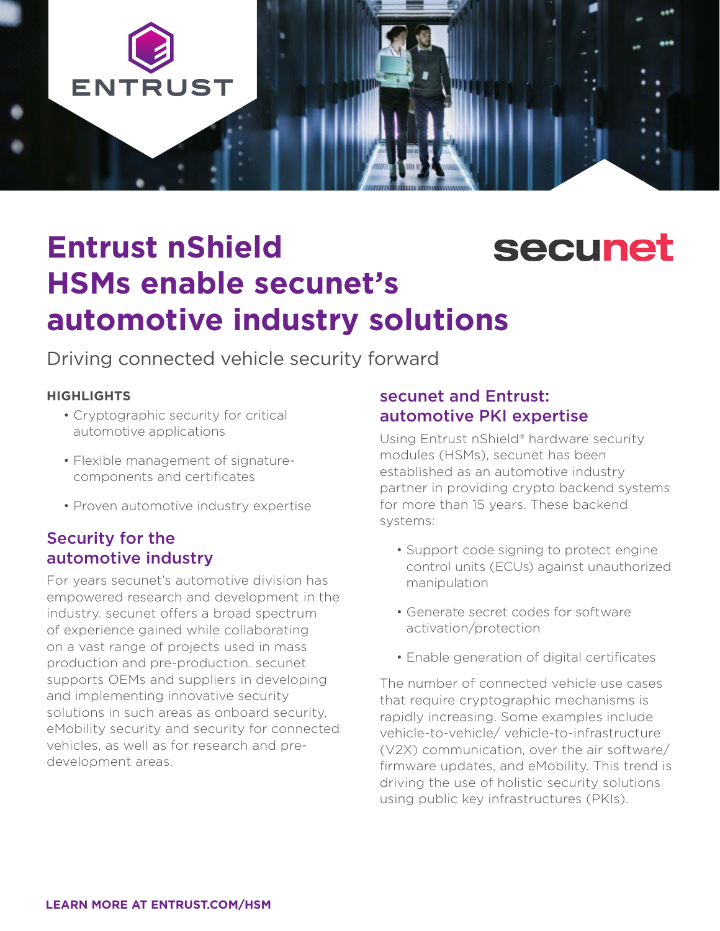

# **Entrust nShield secunet HSMs enable secunet's automotive industry solutions**

Driving connected vehicle security forward

### **HIGHLIGHTS**

- Cryptographic security for critical automotive applications
- Flexible management of signaturecomponents and certificates
- Proven automotive industry expertise

## Security for the automotive industry

For years secunet's automotive division has empowered research and development in the industry. secunet offers a broad spectrum of experience gained while collaborating on a vast range of projects used in mass production and pre-production. secunet supports OEMs and suppliers in developing and implementing innovative security solutions in such areas as onboard security, eMobility security and security for connected vehicles, as well as for research and predevelopment areas.

### secunet and Entrust: automotive PKI expertise

Using Entrust nShield® hardware security modules (HSMs), secunet has been established as an automotive industry partner in providing crypto backend systems for more than 15 years. These backend systems:

- Support code signing to protect engine control units (ECUs) against unauthorized manipulation
- Generate secret codes for software activation/protection
- Enable generation of digital certificates

The number of connected vehicle use cases that require cryptographic mechanisms is rapidly increasing. Some examples include vehicle-to-vehicle/ vehicle-to-infrastructure (V2X) communication, over the air software/ firmware updates, and eMobility. This trend is driving the use of holistic security solutions using public key infrastructures (PKIs).